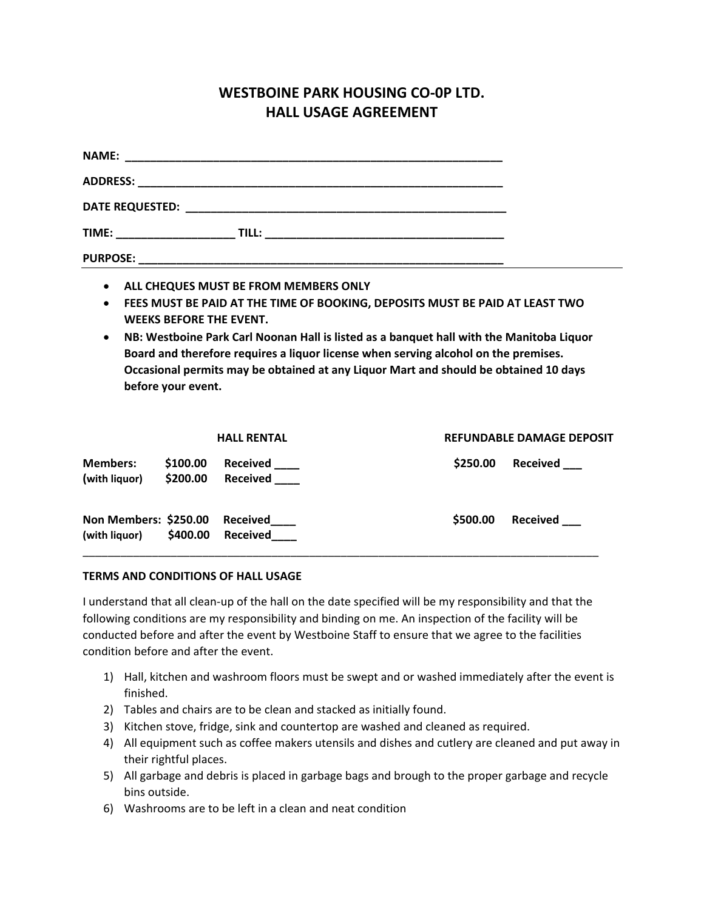## **WESTBOINE PARK HOUSING CO-0P LTD. HALL USAGE AGREEMENT**

| $\bullet$<br>$\bullet$<br>$\bullet$ | <b>WEEKS BEFORE THE EVENT.</b><br>before your event. | ALL CHEQUES MUST BE FROM MEMBERS ONLY | FEES MUST BE PAID AT THE TIME OF BOOKING, DEPOSITS MUST BE PAID AT LEAST TWO<br>NB: Westboine Park Carl Noonan Hall is listed as a banquet hall with the Manitoba Liquor<br>Board and therefore requires a liquor license when serving alcohol on the premises.<br>Occasional permits may be obtained at any Liquor Mart and should be obtained 10 days |                                  |
|-------------------------------------|------------------------------------------------------|---------------------------------------|---------------------------------------------------------------------------------------------------------------------------------------------------------------------------------------------------------------------------------------------------------------------------------------------------------------------------------------------------------|----------------------------------|
| <b>Members:</b>                     |                                                      | <b>HALL RENTAL</b>                    |                                                                                                                                                                                                                                                                                                                                                         | <b>REFUNDABLE DAMAGE DEPOSIT</b> |
| (with liquor)                       | \$100.00<br>\$200.00                                 | <b>Received</b><br>Received           | \$250.00                                                                                                                                                                                                                                                                                                                                                | Received                         |

| Non Members: \$250.00 Received |                   | \$500.00 Received |  |
|--------------------------------|-------------------|-------------------|--|
| (with liquor)                  | \$400.00 Received |                   |  |
|                                |                   |                   |  |

## **TERMS AND CONDITIONS OF HALL USAGE**

I understand that all clean-up of the hall on the date specified will be my responsibility and that the following conditions are my responsibility and binding on me. An inspection of the facility will be conducted before and after the event by Westboine Staff to ensure that we agree to the facilities condition before and after the event.

- 1) Hall, kitchen and washroom floors must be swept and or washed immediately after the event is finished.
- 2) Tables and chairs are to be clean and stacked as initially found.
- 3) Kitchen stove, fridge, sink and countertop are washed and cleaned as required.
- 4) All equipment such as coffee makers utensils and dishes and cutlery are cleaned and put away in their rightful places.
- 5) All garbage and debris is placed in garbage bags and brough to the proper garbage and recycle bins outside.
- 6) Washrooms are to be left in a clean and neat condition